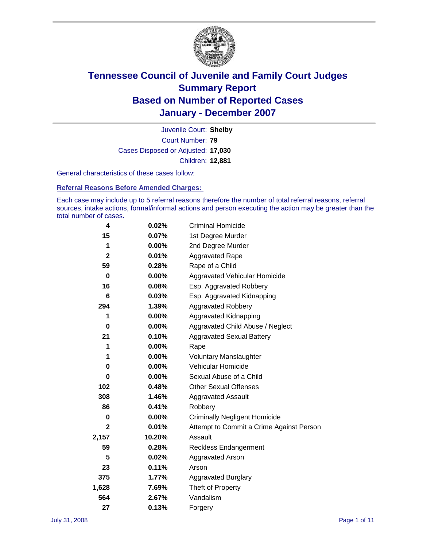

Court Number: **79** Juvenile Court: **Shelby** Cases Disposed or Adjusted: **17,030** Children: **12,881**

General characteristics of these cases follow:

**Referral Reasons Before Amended Charges:** 

Each case may include up to 5 referral reasons therefore the number of total referral reasons, referral sources, intake actions, formal/informal actions and person executing the action may be greater than the total number of cases.

| 4            | 0.02%    | <b>Criminal Homicide</b>                 |
|--------------|----------|------------------------------------------|
| 15           | 0.07%    | 1st Degree Murder                        |
| 1            | $0.00\%$ | 2nd Degree Murder                        |
| $\mathbf{2}$ | 0.01%    | <b>Aggravated Rape</b>                   |
| 59           | 0.28%    | Rape of a Child                          |
| 0            | 0.00%    | Aggravated Vehicular Homicide            |
| 16           | 0.08%    | Esp. Aggravated Robbery                  |
| 6            | 0.03%    | Esp. Aggravated Kidnapping               |
| 294          | 1.39%    | <b>Aggravated Robbery</b>                |
| 1            | $0.00\%$ | Aggravated Kidnapping                    |
| 0            | 0.00%    | Aggravated Child Abuse / Neglect         |
| 21           | 0.10%    | <b>Aggravated Sexual Battery</b>         |
| 1            | 0.00%    | Rape                                     |
| 1            | 0.00%    | <b>Voluntary Manslaughter</b>            |
| 0            | 0.00%    | Vehicular Homicide                       |
| $\bf{0}$     | 0.00%    | Sexual Abuse of a Child                  |
| 102          | 0.48%    | <b>Other Sexual Offenses</b>             |
| 308          | 1.46%    | <b>Aggravated Assault</b>                |
| 86           | 0.41%    | Robbery                                  |
| 0            | 0.00%    | <b>Criminally Negligent Homicide</b>     |
| $\mathbf{2}$ | 0.01%    | Attempt to Commit a Crime Against Person |
| 2,157        | 10.20%   | Assault                                  |
| 59           | 0.28%    | <b>Reckless Endangerment</b>             |
| 5            | 0.02%    | Aggravated Arson                         |
| 23           | 0.11%    | Arson                                    |
| 375          | 1.77%    | <b>Aggravated Burglary</b>               |
| 1,628        | 7.69%    | Theft of Property                        |
| 564          | 2.67%    | Vandalism                                |
| 27           | 0.13%    | Forgery                                  |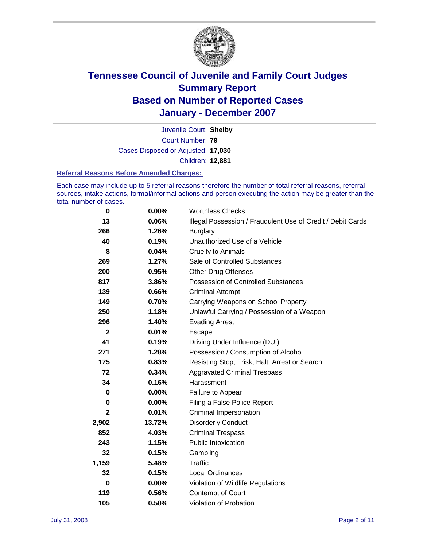

Court Number: **79** Juvenile Court: **Shelby** Cases Disposed or Adjusted: **17,030** Children: **12,881**

#### **Referral Reasons Before Amended Charges:**

Each case may include up to 5 referral reasons therefore the number of total referral reasons, referral sources, intake actions, formal/informal actions and person executing the action may be greater than the total number of cases.

| 0            | 0.00%  | <b>Worthless Checks</b>                                     |
|--------------|--------|-------------------------------------------------------------|
| 13           | 0.06%  | Illegal Possession / Fraudulent Use of Credit / Debit Cards |
| 266          | 1.26%  | <b>Burglary</b>                                             |
| 40           | 0.19%  | Unauthorized Use of a Vehicle                               |
| 8            | 0.04%  | <b>Cruelty to Animals</b>                                   |
| 269          | 1.27%  | Sale of Controlled Substances                               |
| 200          | 0.95%  | <b>Other Drug Offenses</b>                                  |
| 817          | 3.86%  | Possession of Controlled Substances                         |
| 139          | 0.66%  | <b>Criminal Attempt</b>                                     |
| 149          | 0.70%  | Carrying Weapons on School Property                         |
| 250          | 1.18%  | Unlawful Carrying / Possession of a Weapon                  |
| 296          | 1.40%  | <b>Evading Arrest</b>                                       |
| $\mathbf{2}$ | 0.01%  | Escape                                                      |
| 41           | 0.19%  | Driving Under Influence (DUI)                               |
| 271          | 1.28%  | Possession / Consumption of Alcohol                         |
| 175          | 0.83%  | Resisting Stop, Frisk, Halt, Arrest or Search               |
| 72           | 0.34%  | <b>Aggravated Criminal Trespass</b>                         |
| 34           | 0.16%  | Harassment                                                  |
| 0            | 0.00%  | Failure to Appear                                           |
| 0            | 0.00%  | Filing a False Police Report                                |
| 2            | 0.01%  | <b>Criminal Impersonation</b>                               |
| 2,902        | 13.72% | <b>Disorderly Conduct</b>                                   |
| 852          | 4.03%  | <b>Criminal Trespass</b>                                    |
| 243          | 1.15%  | <b>Public Intoxication</b>                                  |
| 32           | 0.15%  | Gambling                                                    |
| 1,159        | 5.48%  | Traffic                                                     |
| 32           | 0.15%  | Local Ordinances                                            |
| 0            | 0.00%  | Violation of Wildlife Regulations                           |
| 119          | 0.56%  | Contempt of Court                                           |
| 105          | 0.50%  | Violation of Probation                                      |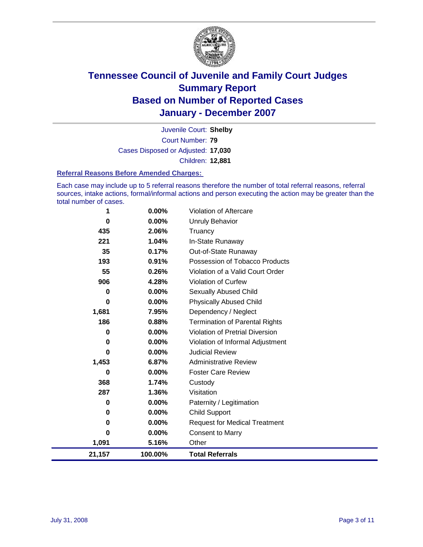

Court Number: **79** Juvenile Court: **Shelby** Cases Disposed or Adjusted: **17,030** Children: **12,881**

#### **Referral Reasons Before Amended Charges:**

Each case may include up to 5 referral reasons therefore the number of total referral reasons, referral sources, intake actions, formal/informal actions and person executing the action may be greater than the total number of cases.

| 21,157   | 100.00% | <b>Total Referrals</b>                 |
|----------|---------|----------------------------------------|
| 1,091    | 5.16%   | Other                                  |
| $\Omega$ | 0.00%   | <b>Consent to Marry</b>                |
| 0        | 0.00%   | <b>Request for Medical Treatment</b>   |
| $\bf{0}$ | 0.00%   | <b>Child Support</b>                   |
| 0        | 0.00%   | Paternity / Legitimation               |
| 287      | 1.36%   | Visitation                             |
| 368      | 1.74%   | Custody                                |
| 0        | 0.00%   | <b>Foster Care Review</b>              |
| 1,453    | 6.87%   | <b>Administrative Review</b>           |
| 0        | 0.00%   | <b>Judicial Review</b>                 |
| 0        | 0.00%   | Violation of Informal Adjustment       |
| $\bf{0}$ | 0.00%   | <b>Violation of Pretrial Diversion</b> |
| 186      | 0.88%   | <b>Termination of Parental Rights</b>  |
| 1,681    | 7.95%   | Dependency / Neglect                   |
| $\bf{0}$ | 0.00%   | <b>Physically Abused Child</b>         |
| $\bf{0}$ | 0.00%   | <b>Sexually Abused Child</b>           |
| 906      | 4.28%   | Violation of Curfew                    |
| 55       | 0.26%   | Violation of a Valid Court Order       |
| 193      | 0.91%   | Possession of Tobacco Products         |
| 35       | 0.17%   | Out-of-State Runaway                   |
| 221      | 1.04%   | In-State Runaway                       |
| 435      | 2.06%   | Truancy                                |
| $\bf{0}$ | 0.00%   | Unruly Behavior                        |
| 1        | 0.00%   | Violation of Aftercare                 |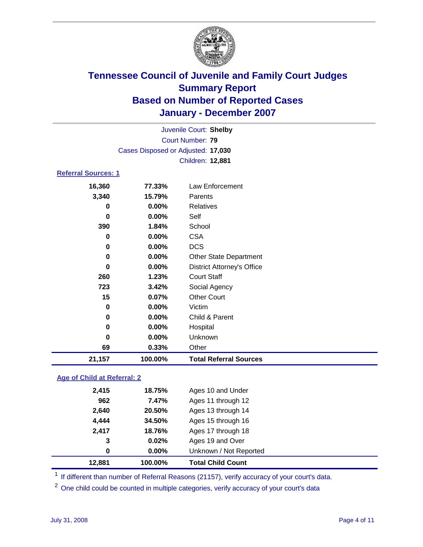

|                            |                                    | Juvenile Court: Shelby            |  |  |  |  |
|----------------------------|------------------------------------|-----------------------------------|--|--|--|--|
| Court Number: 79           |                                    |                                   |  |  |  |  |
|                            | Cases Disposed or Adjusted: 17,030 |                                   |  |  |  |  |
|                            |                                    | Children: 12,881                  |  |  |  |  |
| <b>Referral Sources: 1</b> |                                    |                                   |  |  |  |  |
| 16,360                     | 77.33%                             | Law Enforcement                   |  |  |  |  |
| 3,340                      | 15.79%                             | Parents                           |  |  |  |  |
| 0                          | $0.00\%$                           | <b>Relatives</b>                  |  |  |  |  |
| 0                          | 0.00%                              | Self                              |  |  |  |  |
| 390                        | 1.84%                              | School                            |  |  |  |  |
| 0                          | 0.00%                              | <b>CSA</b>                        |  |  |  |  |
| 0                          | 0.00%                              | <b>DCS</b>                        |  |  |  |  |
| 0                          | 0.00%                              | <b>Other State Department</b>     |  |  |  |  |
| 0                          | 0.00%                              | <b>District Attorney's Office</b> |  |  |  |  |
| 260                        | 1.23%                              | <b>Court Staff</b>                |  |  |  |  |
| 723                        | 3.42%                              | Social Agency                     |  |  |  |  |
| 15                         | 0.07%                              | <b>Other Court</b>                |  |  |  |  |
| 0                          | 0.00%                              | Victim                            |  |  |  |  |
| 0                          | 0.00%                              | Child & Parent                    |  |  |  |  |
| 0                          | $0.00\%$                           | Hospital                          |  |  |  |  |
| 0                          | $0.00\%$                           | Unknown                           |  |  |  |  |
| 69                         | 0.33%                              | Other                             |  |  |  |  |
| 21,157                     | 100.00%                            | <b>Total Referral Sources</b>     |  |  |  |  |

### **Age of Child at Referral: 2**

| 12,881      | 100.00% | <b>Total Child Count</b> |  |
|-------------|---------|--------------------------|--|
| $\mathbf 0$ | 0.00%   | Unknown / Not Reported   |  |
| 3           | 0.02%   | Ages 19 and Over         |  |
| 2,417       | 18.76%  | Ages 17 through 18       |  |
| 4,444       | 34.50%  | Ages 15 through 16       |  |
| 2,640       | 20.50%  | Ages 13 through 14       |  |
| 962         | 7.47%   | Ages 11 through 12       |  |
| 2,415       | 18.75%  | Ages 10 and Under        |  |
|             |         |                          |  |

<sup>1</sup> If different than number of Referral Reasons (21157), verify accuracy of your court's data.

<sup>2</sup> One child could be counted in multiple categories, verify accuracy of your court's data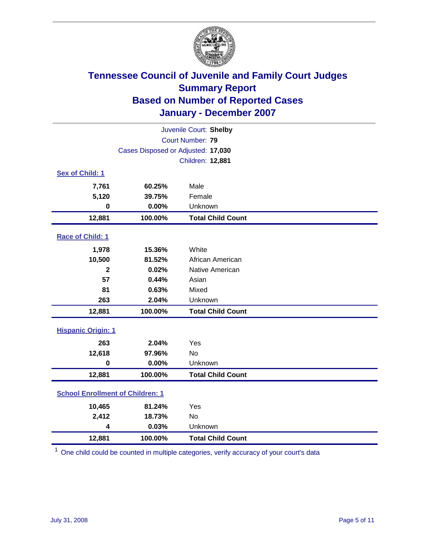

| Juvenile Court: Shelby                  |                                    |                          |  |  |
|-----------------------------------------|------------------------------------|--------------------------|--|--|
| Court Number: 79                        |                                    |                          |  |  |
|                                         | Cases Disposed or Adjusted: 17,030 |                          |  |  |
|                                         |                                    | Children: 12,881         |  |  |
| Sex of Child: 1                         |                                    |                          |  |  |
| 7,761                                   | 60.25%                             | Male                     |  |  |
| 5,120                                   | 39.75%                             | Female                   |  |  |
| $\bf{0}$                                | 0.00%                              | Unknown                  |  |  |
| 12,881                                  | 100.00%                            | <b>Total Child Count</b> |  |  |
| Race of Child: 1                        |                                    |                          |  |  |
| 1,978                                   | 15.36%                             | White                    |  |  |
| 10,500                                  | 81.52%                             | African American         |  |  |
| $\mathbf 2$                             | 0.02%                              | Native American          |  |  |
| 57                                      | 0.44%                              | Asian                    |  |  |
| 81                                      | 0.63%                              | Mixed                    |  |  |
| 263                                     | 2.04%                              | Unknown                  |  |  |
| 12,881                                  | 100.00%                            | <b>Total Child Count</b> |  |  |
| <b>Hispanic Origin: 1</b>               |                                    |                          |  |  |
| 263                                     | 2.04%                              | Yes                      |  |  |
| 12,618                                  | 97.96%                             | <b>No</b>                |  |  |
| $\mathbf 0$                             | 0.00%                              | Unknown                  |  |  |
| 12,881                                  | 100.00%                            | <b>Total Child Count</b> |  |  |
| <b>School Enrollment of Children: 1</b> |                                    |                          |  |  |
| 10,465                                  | 81.24%                             | Yes                      |  |  |
| 2,412                                   | 18.73%                             | No                       |  |  |
| 4                                       | 0.03%                              | Unknown                  |  |  |
| 12,881                                  | 100.00%                            | <b>Total Child Count</b> |  |  |

<sup>1</sup> One child could be counted in multiple categories, verify accuracy of your court's data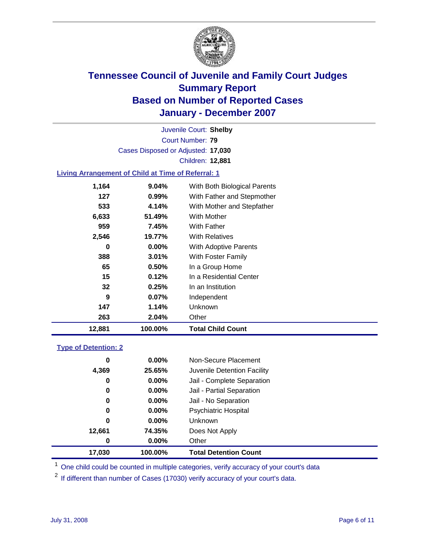

Court Number: **79** Juvenile Court: **Shelby** Cases Disposed or Adjusted: **17,030** Children: **12,881**

### **Living Arrangement of Child at Time of Referral: 1**

| 12,881 | 100.00%  | <b>Total Child Count</b>     |
|--------|----------|------------------------------|
| 263    | 2.04%    | Other                        |
| 147    | 1.14%    | <b>Unknown</b>               |
| 9      | $0.07\%$ | Independent                  |
| 32     | 0.25%    | In an Institution            |
| 15     | 0.12%    | In a Residential Center      |
| 65     | $0.50\%$ | In a Group Home              |
| 388    | $3.01\%$ | With Foster Family           |
| 0      | $0.00\%$ | <b>With Adoptive Parents</b> |
| 2,546  | 19.77%   | <b>With Relatives</b>        |
| 959    | 7.45%    | <b>With Father</b>           |
| 6,633  | 51.49%   | With Mother                  |
| 533    | 4.14%    | With Mother and Stepfather   |
| 127    | 0.99%    | With Father and Stepmother   |
| 1,164  | 9.04%    | With Both Biological Parents |
|        |          |                              |

#### **Type of Detention: 2**

| 17,030 | 100.00%  | <b>Total Detention Count</b> |  |
|--------|----------|------------------------------|--|
| 0      | $0.00\%$ | Other                        |  |
| 12,661 | 74.35%   | Does Not Apply               |  |
| 0      | $0.00\%$ | <b>Unknown</b>               |  |
| 0      | $0.00\%$ | <b>Psychiatric Hospital</b>  |  |
| 0      | $0.00\%$ | Jail - No Separation         |  |
| 0      | $0.00\%$ | Jail - Partial Separation    |  |
| 0      | $0.00\%$ | Jail - Complete Separation   |  |
| 4,369  | 25.65%   | Juvenile Detention Facility  |  |
| 0      | $0.00\%$ | Non-Secure Placement         |  |
|        |          |                              |  |

<sup>1</sup> One child could be counted in multiple categories, verify accuracy of your court's data

<sup>2</sup> If different than number of Cases (17030) verify accuracy of your court's data.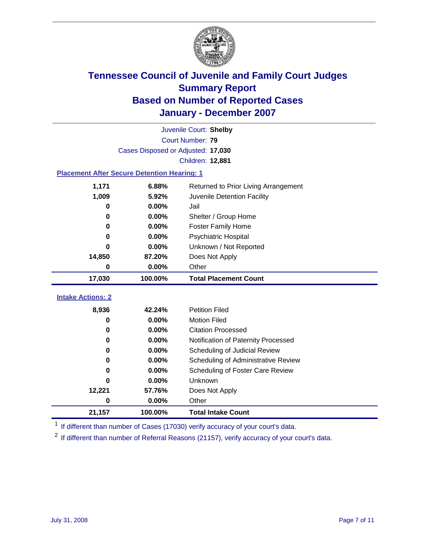

|                                                    | Juvenile Court: Shelby             |                                      |  |  |  |
|----------------------------------------------------|------------------------------------|--------------------------------------|--|--|--|
|                                                    | Court Number: 79                   |                                      |  |  |  |
|                                                    | Cases Disposed or Adjusted: 17,030 |                                      |  |  |  |
|                                                    |                                    | Children: 12,881                     |  |  |  |
| <b>Placement After Secure Detention Hearing: 1</b> |                                    |                                      |  |  |  |
| 1,171                                              | 6.88%                              | Returned to Prior Living Arrangement |  |  |  |
| 1,009                                              | 5.92%                              | Juvenile Detention Facility          |  |  |  |
| 0                                                  | 0.00%                              | Jail                                 |  |  |  |
| 0                                                  | 0.00%                              | Shelter / Group Home                 |  |  |  |
| 0                                                  | 0.00%                              | <b>Foster Family Home</b>            |  |  |  |
| 0                                                  | 0.00%                              | Psychiatric Hospital                 |  |  |  |
| O                                                  | 0.00%                              | Unknown / Not Reported               |  |  |  |
| 14,850                                             | 87.20%                             | Does Not Apply                       |  |  |  |
| 0                                                  | 0.00%                              | Other                                |  |  |  |
| 17,030                                             | 100.00%                            | <b>Total Placement Count</b>         |  |  |  |
| <b>Intake Actions: 2</b>                           |                                    |                                      |  |  |  |
|                                                    |                                    |                                      |  |  |  |
| 8,936                                              | 42.24%                             | <b>Petition Filed</b>                |  |  |  |
| 0                                                  | 0.00%                              | <b>Motion Filed</b>                  |  |  |  |
| 0                                                  | 0.00%                              | <b>Citation Processed</b>            |  |  |  |
| 0                                                  | 0.00%                              | Notification of Paternity Processed  |  |  |  |
| $\bf{0}$                                           | 0.00%                              | Scheduling of Judicial Review        |  |  |  |
| 0                                                  | 0.00%                              | Scheduling of Administrative Review  |  |  |  |
| 0                                                  | 0.00%                              | Scheduling of Foster Care Review     |  |  |  |
| O                                                  | 0.00%                              | Unknown                              |  |  |  |
| 12,221                                             | 57.76%                             | Does Not Apply                       |  |  |  |
| $\bf{0}$                                           | 0.00%                              | Other                                |  |  |  |
| 21,157                                             |                                    |                                      |  |  |  |

<sup>1</sup> If different than number of Cases (17030) verify accuracy of your court's data.

<sup>2</sup> If different than number of Referral Reasons (21157), verify accuracy of your court's data.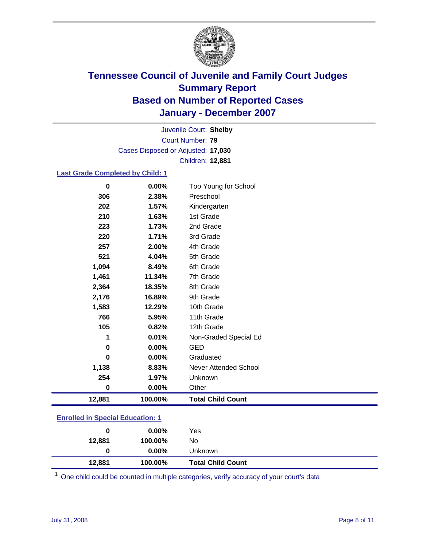

Court Number: **79** Juvenile Court: **Shelby** Cases Disposed or Adjusted: **17,030** Children: **12,881**

#### **Last Grade Completed by Child: 1**

| 12,881   | 100.00% | <b>Total Child Count</b> |
|----------|---------|--------------------------|
| $\bf{0}$ | 0.00%   | Other                    |
| 254      | 1.97%   | Unknown                  |
| 1,138    | 8.83%   | Never Attended School    |
| 0        | 0.00%   | Graduated                |
| $\bf{0}$ | 0.00%   | <b>GED</b>               |
| 1        | 0.01%   | Non-Graded Special Ed    |
| 105      | 0.82%   | 12th Grade               |
| 766      | 5.95%   | 11th Grade               |
| 1,583    | 12.29%  | 10th Grade               |
| 2,176    | 16.89%  | 9th Grade                |
| 2,364    | 18.35%  | 8th Grade                |
| 1,461    | 11.34%  | 7th Grade                |
| 1,094    | 8.49%   | 6th Grade                |
| 521      | 4.04%   | 5th Grade                |
| 257      | 2.00%   | 4th Grade                |
| 220      | 1.71%   | 3rd Grade                |
| 223      | 1.73%   | 2nd Grade                |
| 210      | 1.63%   | 1st Grade                |
| 202      | 1.57%   | Kindergarten             |
| 306      | 2.38%   | Preschool                |
| 0        | 0.00%   | Too Young for School     |

### **Enrolled in Special Education: 1**

| 0      | $0.00\%$ | Yes                      |
|--------|----------|--------------------------|
| 12,881 | 100.00%  | No                       |
| 0      | $0.00\%$ | Unknown                  |
| 12,881 | 100.00%  | <b>Total Child Count</b> |

 $1$  One child could be counted in multiple categories, verify accuracy of your court's data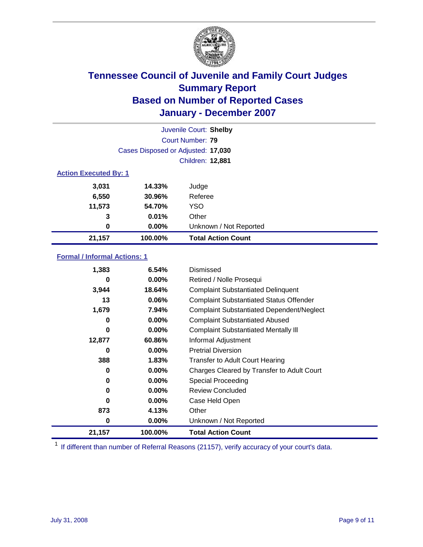

| Juvenile Court: Shelby       |                                    |                           |  |  |  |
|------------------------------|------------------------------------|---------------------------|--|--|--|
|                              | Court Number: 79                   |                           |  |  |  |
|                              | Cases Disposed or Adjusted: 17,030 |                           |  |  |  |
|                              |                                    | Children: 12,881          |  |  |  |
| <b>Action Executed By: 1</b> |                                    |                           |  |  |  |
| 3,031                        | 14.33%                             | Judge                     |  |  |  |
| 6,550                        | 30.96%                             | Referee                   |  |  |  |
| 11,573                       | 54.70%                             | <b>YSO</b>                |  |  |  |
| 3                            | 0.01%                              | Other                     |  |  |  |
| $\bf{0}$                     | 0.00%                              | Unknown / Not Reported    |  |  |  |
| 21,157                       | 100.00%                            | <b>Total Action Count</b> |  |  |  |

### **Formal / Informal Actions: 1**

| 1,383  | 6.54%    | Dismissed                                        |
|--------|----------|--------------------------------------------------|
| 0      | $0.00\%$ | Retired / Nolle Prosequi                         |
| 3,944  | 18.64%   | <b>Complaint Substantiated Delinquent</b>        |
| 13     | 0.06%    | <b>Complaint Substantiated Status Offender</b>   |
| 1,679  | 7.94%    | <b>Complaint Substantiated Dependent/Neglect</b> |
| 0      | $0.00\%$ | <b>Complaint Substantiated Abused</b>            |
| 0      | $0.00\%$ | <b>Complaint Substantiated Mentally III</b>      |
| 12,877 | 60.86%   | Informal Adjustment                              |
| 0      | $0.00\%$ | <b>Pretrial Diversion</b>                        |
| 388    | 1.83%    | <b>Transfer to Adult Court Hearing</b>           |
| 0      | $0.00\%$ | Charges Cleared by Transfer to Adult Court       |
| 0      | $0.00\%$ | Special Proceeding                               |
| 0      | $0.00\%$ | <b>Review Concluded</b>                          |
| 0      | $0.00\%$ | Case Held Open                                   |
| 873    | 4.13%    | Other                                            |
| 0      | 0.00%    | Unknown / Not Reported                           |
| 21,157 | 100.00%  | <b>Total Action Count</b>                        |

<sup>1</sup> If different than number of Referral Reasons (21157), verify accuracy of your court's data.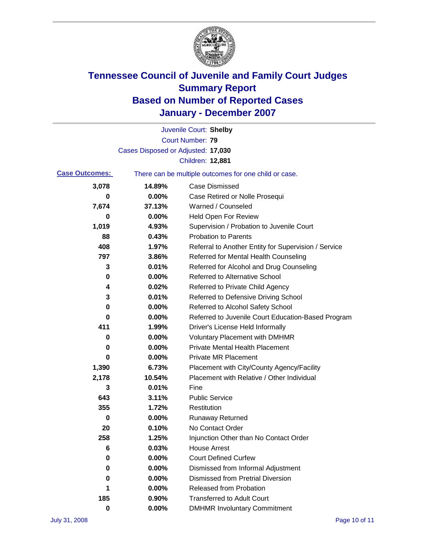

|                       |                                    | Juvenile Court: Shelby                                |
|-----------------------|------------------------------------|-------------------------------------------------------|
|                       |                                    | Court Number: 79                                      |
|                       | Cases Disposed or Adjusted: 17,030 |                                                       |
|                       |                                    | Children: 12,881                                      |
| <b>Case Outcomes:</b> |                                    | There can be multiple outcomes for one child or case. |
| 3,078                 | 14.89%                             | <b>Case Dismissed</b>                                 |
| 0                     | 0.00%                              | Case Retired or Nolle Prosequi                        |
| 7,674                 | 37.13%                             | Warned / Counseled                                    |
| 0                     | 0.00%                              | <b>Held Open For Review</b>                           |
| 1,019                 | 4.93%                              | Supervision / Probation to Juvenile Court             |
| 88                    | 0.43%                              | <b>Probation to Parents</b>                           |
| 408                   | 1.97%                              | Referral to Another Entity for Supervision / Service  |
| 797                   | 3.86%                              | Referred for Mental Health Counseling                 |
| 3                     | 0.01%                              | Referred for Alcohol and Drug Counseling              |
| 0                     | 0.00%                              | Referred to Alternative School                        |
| 4                     | 0.02%                              | Referred to Private Child Agency                      |
| 3                     | 0.01%                              | Referred to Defensive Driving School                  |
| 0                     | 0.00%                              | Referred to Alcohol Safety School                     |
| 0                     | 0.00%                              | Referred to Juvenile Court Education-Based Program    |
| 411                   | 1.99%                              | Driver's License Held Informally                      |
| 0                     | 0.00%                              | <b>Voluntary Placement with DMHMR</b>                 |
| 0                     | 0.00%                              | <b>Private Mental Health Placement</b>                |
| 0                     | 0.00%                              | <b>Private MR Placement</b>                           |
| 1,390                 | 6.73%                              | Placement with City/County Agency/Facility            |
| 2,178                 | 10.54%                             | Placement with Relative / Other Individual            |
| 3                     | 0.01%                              | Fine                                                  |
| 643                   | 3.11%                              | <b>Public Service</b>                                 |
| 355                   | 1.72%                              | Restitution                                           |
| 0                     | 0.00%                              | <b>Runaway Returned</b>                               |
| 20                    | 0.10%                              | No Contact Order                                      |
| 258                   | 1.25%                              | Injunction Other than No Contact Order                |
| 6                     | 0.03%                              | <b>House Arrest</b>                                   |
| 0                     | 0.00%                              | <b>Court Defined Curfew</b>                           |
| 0                     | 0.00%                              | Dismissed from Informal Adjustment                    |
| 0                     | 0.00%                              | <b>Dismissed from Pretrial Diversion</b>              |
| 1                     | 0.00%                              | <b>Released from Probation</b>                        |
| 185                   | 0.90%                              | <b>Transferred to Adult Court</b>                     |
| $\pmb{0}$             | $0.00\%$                           | <b>DMHMR Involuntary Commitment</b>                   |